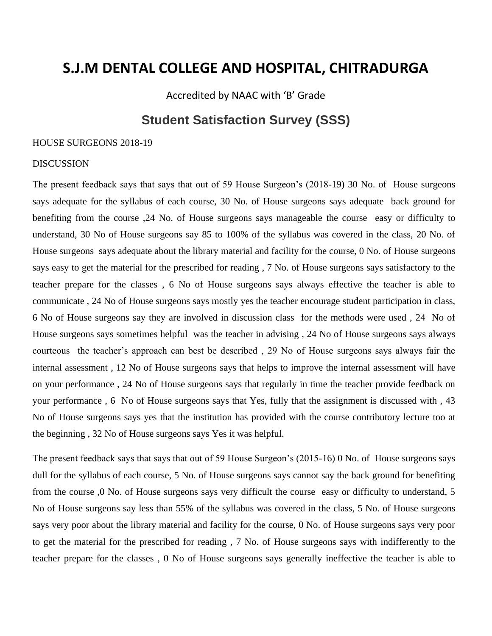Accredited by NAAC with 'B' Grade

### **Student Satisfaction Survey (SSS)**

#### HOUSE SURGEONS 2018-19

#### **DISCUSSION**

The present feedback says that says that out of 59 House Surgeon's (2018-19) 30 No. of House surgeons says adequate for the syllabus of each course, 30 No. of House surgeons says adequate back ground for benefiting from the course ,24 No. of House surgeons says manageable the course easy or difficulty to understand, 30 No of House surgeons say 85 to 100% of the syllabus was covered in the class, 20 No. of House surgeons says adequate about the library material and facility for the course, 0 No. of House surgeons says easy to get the material for the prescribed for reading , 7 No. of House surgeons says satisfactory to the teacher prepare for the classes , 6 No of House surgeons says always effective the teacher is able to communicate , 24 No of House surgeons says mostly yes the teacher encourage student participation in class, 6 No of House surgeons say they are involved in discussion class for the methods were used , 24 No of House surgeons says sometimes helpful was the teacher in advising , 24 No of House surgeons says always courteous the teacher's approach can best be described , 29 No of House surgeons says always fair the internal assessment , 12 No of House surgeons says that helps to improve the internal assessment will have on your performance , 24 No of House surgeons says that regularly in time the teacher provide feedback on your performance , 6 No of House surgeons says that Yes, fully that the assignment is discussed with , 43 No of House surgeons says yes that the institution has provided with the course contributory lecture too at the beginning , 32 No of House surgeons says Yes it was helpful.

The present feedback says that says that out of 59 House Surgeon's (2015-16) 0 No. of House surgeons says dull for the syllabus of each course, 5 No. of House surgeons says cannot say the back ground for benefiting from the course ,0 No. of House surgeons says very difficult the course easy or difficulty to understand, 5 No of House surgeons say less than 55% of the syllabus was covered in the class, 5 No. of House surgeons says very poor about the library material and facility for the course, 0 No. of House surgeons says very poor to get the material for the prescribed for reading , 7 No. of House surgeons says with indifferently to the teacher prepare for the classes , 0 No of House surgeons says generally ineffective the teacher is able to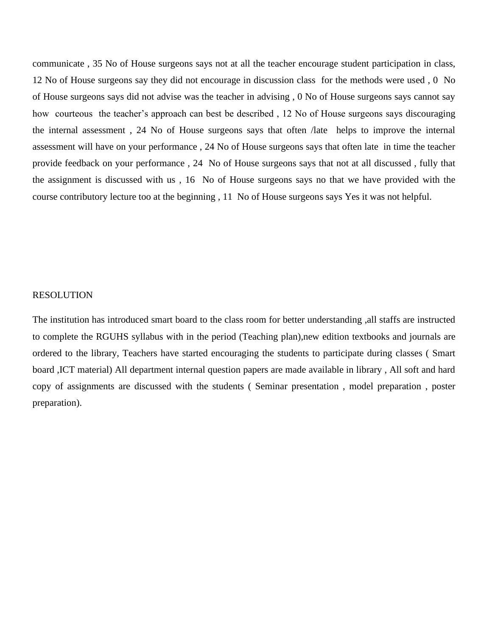communicate , 35 No of House surgeons says not at all the teacher encourage student participation in class, 12 No of House surgeons say they did not encourage in discussion class for the methods were used , 0 No of House surgeons says did not advise was the teacher in advising , 0 No of House surgeons says cannot say how courteous the teacher's approach can best be described , 12 No of House surgeons says discouraging the internal assessment , 24 No of House surgeons says that often /late helps to improve the internal assessment will have on your performance , 24 No of House surgeons says that often late in time the teacher provide feedback on your performance , 24 No of House surgeons says that not at all discussed , fully that the assignment is discussed with us , 16 No of House surgeons says no that we have provided with the course contributory lecture too at the beginning , 11 No of House surgeons says Yes it was not helpful.

#### RESOLUTION

The institution has introduced smart board to the class room for better understanding ,all staffs are instructed to complete the RGUHS syllabus with in the period (Teaching plan),new edition textbooks and journals are ordered to the library, Teachers have started encouraging the students to participate during classes ( Smart board ,ICT material) All department internal question papers are made available in library , All soft and hard copy of assignments are discussed with the students ( Seminar presentation , model preparation , poster preparation).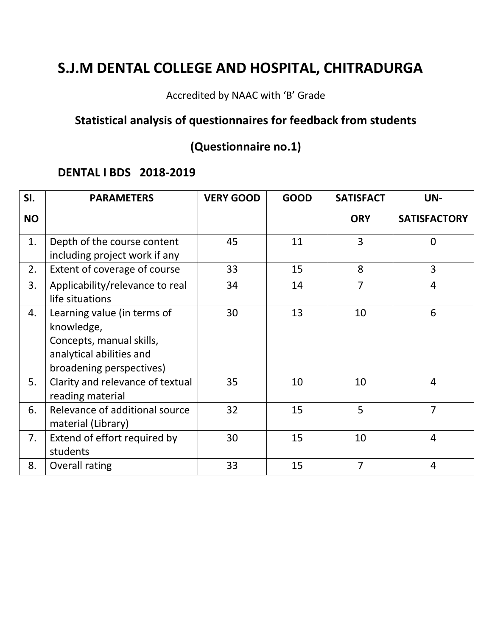Accredited by NAAC with 'B' Grade

## **Statistical analysis of questionnaires for feedback from students**

## **(Questionnaire no.1)**

### **DENTAL I BDS 2018-2019**

| SI.       | <b>PARAMETERS</b>                                                                                                             | <b>VERY GOOD</b> | <b>GOOD</b> | <b>SATISFACT</b> | UN-                 |
|-----------|-------------------------------------------------------------------------------------------------------------------------------|------------------|-------------|------------------|---------------------|
| <b>NO</b> |                                                                                                                               |                  |             | <b>ORY</b>       | <b>SATISFACTORY</b> |
| 1.        | Depth of the course content<br>including project work if any                                                                  | 45               | 11          | 3                | $\Omega$            |
| 2.        | Extent of coverage of course                                                                                                  | 33               | 15          | 8                | 3                   |
| 3.        | Applicability/relevance to real<br>life situations                                                                            | 34               | 14          | $\overline{7}$   | $\overline{4}$      |
| 4.        | Learning value (in terms of<br>knowledge,<br>Concepts, manual skills,<br>analytical abilities and<br>broadening perspectives) | 30               | 13          | 10               | 6                   |
| 5.        | Clarity and relevance of textual<br>reading material                                                                          | 35               | 10          | 10               | $\overline{4}$      |
| 6.        | Relevance of additional source<br>material (Library)                                                                          | 32               | 15          | 5                | $\overline{7}$      |
| 7.        | Extend of effort required by<br>students                                                                                      | 30               | 15          | 10               | 4                   |
| 8.        | Overall rating                                                                                                                | 33               | 15          | 7                | $\overline{4}$      |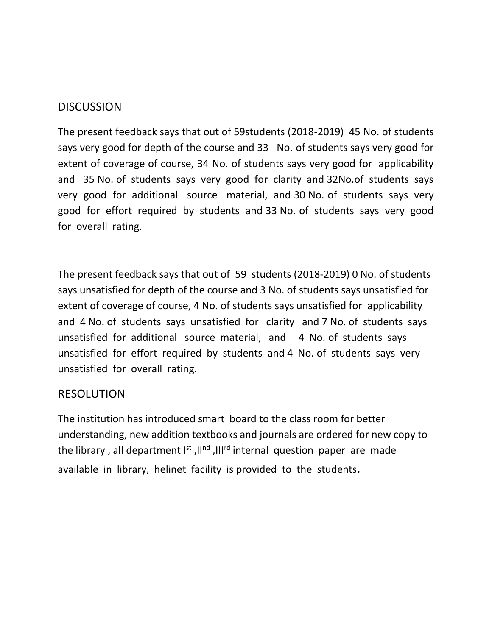The present feedback says that out of 59students (2018-2019) 45 No. of students says very good for depth of the course and 33 No. of students says very good for extent of coverage of course, 34 No. of students says very good for applicability and 35 No. of students says very good for clarity and 32No.of students says very good for additional source material, and 30 No. of students says very good for effort required by students and 33 No. of students says very good for overall rating.

The present feedback says that out of 59 students (2018-2019) 0 No. of students says unsatisfied for depth of the course and 3 No. of students says unsatisfied for extent of coverage of course, 4 No. of students says unsatisfied for applicability and 4 No. of students says unsatisfied for clarity and 7 No. of students says unsatisfied for additional source material, and 4 No. of students says unsatisfied for effort required by students and 4 No. of students says very unsatisfied for overall rating.

### RESOLUTION

The institution has introduced smart board to the class room for better understanding, new addition textbooks and journals are ordered for new copy to the library, all department  $I<sup>st</sup>$ ,  $II<sup>nd</sup>$ ,  $III<sup>rd</sup>$  internal question paper are made available in library, helinet facility is provided to the students.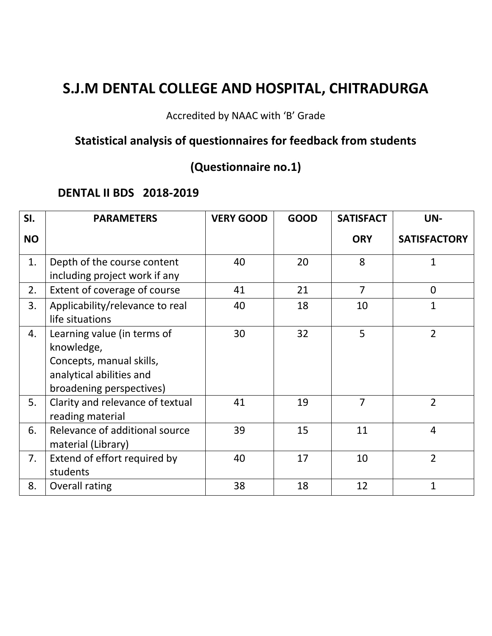Accredited by NAAC with 'B' Grade

## **Statistical analysis of questionnaires for feedback from students**

# **(Questionnaire no.1)**

### **DENTAL II BDS 2018-2019**

| SI.       | <b>PARAMETERS</b>                                                                                                             | <b>VERY GOOD</b> | <b>GOOD</b> | <b>SATISFACT</b> | UN-                 |
|-----------|-------------------------------------------------------------------------------------------------------------------------------|------------------|-------------|------------------|---------------------|
| <b>NO</b> |                                                                                                                               |                  |             | <b>ORY</b>       | <b>SATISFACTORY</b> |
| 1.        | Depth of the course content<br>including project work if any                                                                  | 40               | 20          | 8                | 1                   |
| 2.        | Extent of coverage of course                                                                                                  | 41               | 21          | $\overline{7}$   | $\overline{0}$      |
| 3.        | Applicability/relevance to real<br>life situations                                                                            | 40               | 18          | 10               | $\mathbf{1}$        |
| 4.        | Learning value (in terms of<br>knowledge,<br>Concepts, manual skills,<br>analytical abilities and<br>broadening perspectives) | 30               | 32          | 5                | $\overline{2}$      |
| 5.        | Clarity and relevance of textual<br>reading material                                                                          | 41               | 19          | $\overline{7}$   | $\overline{2}$      |
| 6.        | Relevance of additional source<br>material (Library)                                                                          | 39               | 15          | 11               | $\overline{4}$      |
| 7.        | Extend of effort required by<br>students                                                                                      | 40               | 17          | 10               | $\overline{2}$      |
| 8.        | Overall rating                                                                                                                | 38               | 18          | 12               | $\mathbf{1}$        |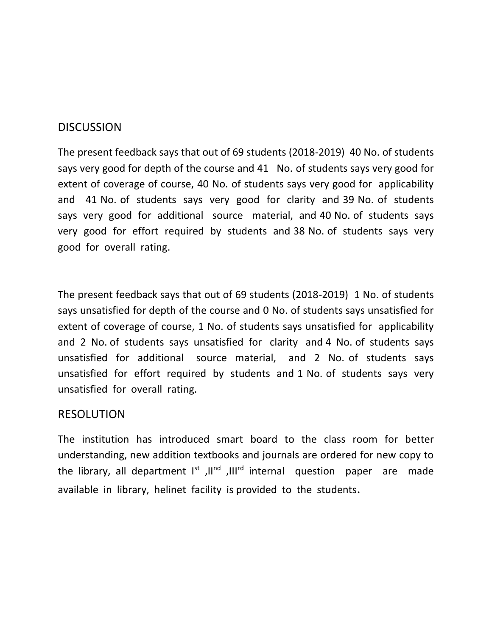The present feedback says that out of 69 students (2018-2019) 40 No. of students says very good for depth of the course and 41 No. of students says very good for extent of coverage of course, 40 No. of students says very good for applicability and 41 No. of students says very good for clarity and 39 No. of students says very good for additional source material, and 40 No. of students says very good for effort required by students and 38 No. of students says very good for overall rating.

The present feedback says that out of 69 students (2018-2019) 1 No. of students says unsatisfied for depth of the course and 0 No. of students says unsatisfied for extent of coverage of course, 1 No. of students says unsatisfied for applicability and 2 No. of students says unsatisfied for clarity and 4 No. of students says unsatisfied for additional source material, and 2 No. of students says unsatisfied for effort required by students and 1 No. of students says very unsatisfied for overall rating.

### RESOLUTION

The institution has introduced smart board to the class room for better understanding, new addition textbooks and journals are ordered for new copy to the library, all department  $I<sup>st</sup>$ ,  $II<sup>nd</sup>$ ,  $III<sup>rd</sup>$  internal question paper are made available in library, helinet facility is provided to the students.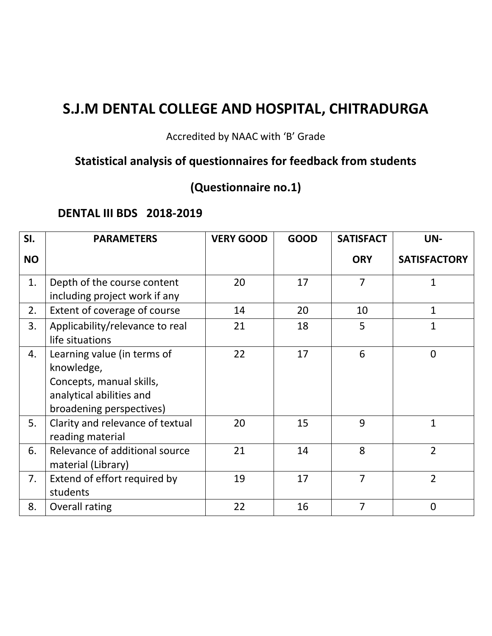### Accredited by NAAC with 'B' Grade

# **Statistical analysis of questionnaires for feedback from students**

# **(Questionnaire no.1)**

### **DENTAL III BDS 2018-2019**

| SI.       | <b>PARAMETERS</b>                                                                                                             | <b>VERY GOOD</b> | <b>GOOD</b> | <b>SATISFACT</b> | UN-                 |
|-----------|-------------------------------------------------------------------------------------------------------------------------------|------------------|-------------|------------------|---------------------|
| <b>NO</b> |                                                                                                                               |                  |             | <b>ORY</b>       | <b>SATISFACTORY</b> |
| 1.        | Depth of the course content<br>including project work if any                                                                  | 20               | 17          | $\overline{7}$   | 1                   |
| 2.        | Extent of coverage of course                                                                                                  | 14               | 20          | 10               | $\mathbf{1}$        |
| 3.        | Applicability/relevance to real<br>life situations                                                                            | 21               | 18          | 5                | $\mathbf{1}$        |
| 4.        | Learning value (in terms of<br>knowledge,<br>Concepts, manual skills,<br>analytical abilities and<br>broadening perspectives) | 22               | 17          | 6                | $\overline{0}$      |
| 5.        | Clarity and relevance of textual<br>reading material                                                                          | 20               | 15          | 9                | $\mathbf{1}$        |
| 6.        | Relevance of additional source<br>material (Library)                                                                          | 21               | 14          | 8                | $\overline{2}$      |
| 7.        | Extend of effort required by<br>students                                                                                      | 19               | 17          | 7                | $\overline{2}$      |
| 8.        | Overall rating                                                                                                                | 22               | 16          | $\overline{7}$   | $\overline{0}$      |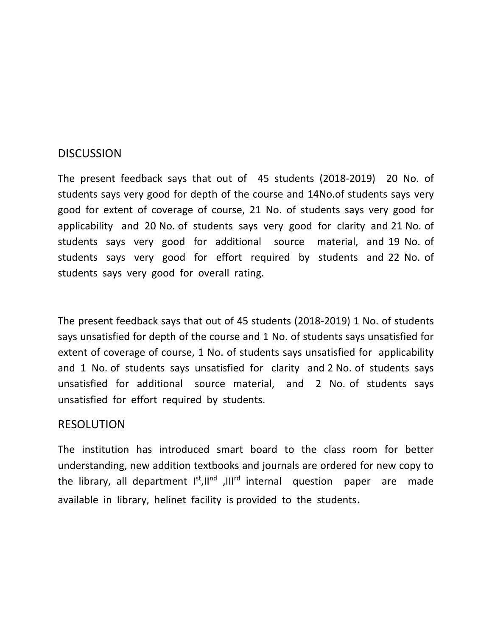The present feedback says that out of 45 students (2018-2019) 20 No. of students says very good for depth of the course and 14No.of students says very good for extent of coverage of course, 21 No. of students says very good for applicability and 20 No. of students says very good for clarity and 21 No. of students says very good for additional source material, and 19 No. of students says very good for effort required by students and 22 No. of students says very good for overall rating.

The present feedback says that out of 45 students (2018-2019) 1 No. of students says unsatisfied for depth of the course and 1 No. of students says unsatisfied for extent of coverage of course, 1 No. of students says unsatisfied for applicability and 1 No. of students says unsatisfied for clarity and 2 No. of students says unsatisfied for additional source material, and 2 No. of students says unsatisfied for effort required by students.

### RESOLUTION

The institution has introduced smart board to the class room for better understanding, new addition textbooks and journals are ordered for new copy to the library, all department  $I^{st},II^{nd}$ ,  $III^{rd}$  internal question paper are made available in library, helinet facility is provided to the students.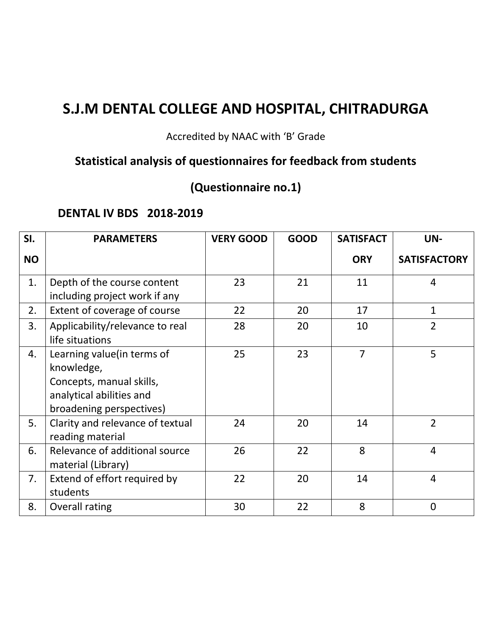### Accredited by NAAC with 'B' Grade

# **Statistical analysis of questionnaires for feedback from students**

# **(Questionnaire no.1)**

### **DENTAL IV BDS 2018-2019**

| SI.       | <b>PARAMETERS</b>                                                                                                             | <b>VERY GOOD</b> | <b>GOOD</b> | <b>SATISFACT</b> | UN-                 |
|-----------|-------------------------------------------------------------------------------------------------------------------------------|------------------|-------------|------------------|---------------------|
| <b>NO</b> |                                                                                                                               |                  |             | <b>ORY</b>       | <b>SATISFACTORY</b> |
| 1.        | Depth of the course content<br>including project work if any                                                                  | 23               | 21          | 11               | 4                   |
| 2.        | Extent of coverage of course                                                                                                  | 22               | 20          | 17               | $\mathbf{1}$        |
| 3.        | Applicability/relevance to real<br>life situations                                                                            | 28               | 20          | 10               | $\overline{2}$      |
| 4.        | Learning value (in terms of<br>knowledge,<br>Concepts, manual skills,<br>analytical abilities and<br>broadening perspectives) | 25               | 23          | $\overline{7}$   | 5                   |
| 5.        | Clarity and relevance of textual<br>reading material                                                                          | 24               | 20          | 14               | $\overline{2}$      |
| 6.        | Relevance of additional source<br>material (Library)                                                                          | 26               | 22          | 8                | $\overline{4}$      |
| 7.        | Extend of effort required by<br>students                                                                                      | 22               | 20          | 14               | $\overline{4}$      |
| 8.        | Overall rating                                                                                                                | 30               | 22          | 8                | $\overline{0}$      |